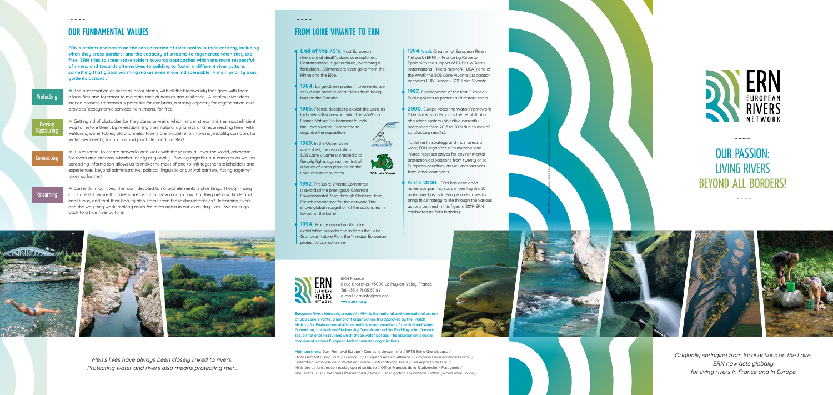# OUR PASSION: LIVING RIVERS BEYOND ALL BORDERS!

 $\sim$ 





Originally springing from local actions on the Loire, ERN now acts globally for living rivers in France and in Europe

Men's lives have always been closely linked to rivers. Protecting water and rivers also means protecting men.

# **FROM LOIRE VIVANTE TO ERN**

 $\sim$ 

ERN France 8 rue Crozatier, 43000 Le Puy-en-Velay, France Tel: +33 4 71 05 57 88 e-mail : ern.info@ern.org **www.ern.org**

**European Rivers Network, created in 1994, is the national and international branch of SOS Loire Vivante, a nonprofit organisation. It is approved by the French Ministry for Environmental Affairs and it is also a member of the National Water Committee, the National Biodiversity Committee and the Flodding Joint Commit tee, all national institutions which shape water policies. The association is also a member of various European federations and organizations.**

Main partners: Dam Removal Europe / Deutsche Umwelthilfe / EPTB Seine Grands Lacs / **Etablissement Public Loire / Euronatur / European Anglers Alliance / European Environmental Bureau /** Fédération Nationale de la Pêche en France **/** International Rivers **/** Les Agences de l'Eau **/** Ministère de la transition écologique et solidaire **/** Office Français de la Biodiversité **/** Patagonia **/** The Rivers Trust **/** Wetlands International **/** World Fish Migration Foundation **/** WWF (World Wide Found)

 $\rightarrow$  The preservation of rivers as ecosystems, with all the biodiversity that goes with them, allows first and foremost to maintain their dynamics and resilience… A healthy river does indeed possess tremendous potential for evolution, a strong capacity for regeneration and provides 'ecosystemic services' to humans, for free.

Getting rid of obstacles, be they dams or weirs, which hinder streams is the most efficient way to restore them, by re-establishing their natural dynamics and reconnecting them with wetlands, water tables, old channels… Rivers are, by definition, flowing, mobility corridors for water, sediments, for animal and plant life… and for Men!

**Connecting** 

# **OUR FUNDAMENTAL VALUES**

 $\sim$ 

 $\rightarrow$  It is essential to create networks and work with those who, all over the world, advocate for rivers and streams, whether locally or globally… Pooling together our energies as well as spreading information allows us to make the most of and to link together stakeholders and experiences, beyond administrative, political, linguistic or cultural barriers! Acting together takes us further!

**ERN's actions are based on the consideration of river basins in their entirety, including when they cross borders, and the capacity of streams to regenerate when they are free. ERN tries to steer stakeholders towards approaches which are more respectful of rivers, and towards alternatives to building to foster a different river culture, something that global warming makes even more indispensable. 4 main priority axes guide its actions :**

**Protecting** 

→ Currently in our lives, the room devoted to natural elements is shrinking... Though many of us are still aware that rivers are beautiful, how many know that they are also fickle and impetuous, and that their beauty also stems from these characteristics? Relearning rivers and the way they work, making room for them again in our everyday lives… We must go back to a true river culture!







**1994 (end).** Creation of European Rivers Network (ERN) in France by Roberto Epple with the support of Dr Phil Williams (International Rivers Network (USA)) and of the WWF: the SOS Loire Vivante Association becomes ERN France - SOS Loire Vivante.

- **P** End of the 70's. Most European rivers are at death's door, overexploited. Contamination is generalized, swimming is forbidden… Salmons are even gone from the Rhine and the Elbe.
- **1984.** Large citizen protest movements are set up and prevent great dams from being built on the Danube.
- **1985.** France decides to exploit the Loire, its last river still somewhat wild. The WWF and France Nature Environment launch the Loire Vivante Committee to organize the opposition.
- **1989.** In the Upper Loire watershed, the association SOS Loire Vivante is created and fiercely fights against the first of a series of dams planned on the Loire and its tributaries.



**1992.** The Loire Vivante Committee is awarded the prestigious Goldman Environmental Prize, through Christine Jean, French coordinator for the network. This shows global recognition of the actions led in favour of the Loire!

Freeing Restauring

Relearning

**1997.** Development of the first European Public policies to protect and restore rivers.

**2000.** Europe votes the Water Framework Directive which demands the rehabilitation of surface waters (objective currently postponed from 2015 to 2021 due to lack of satisfactory results).

To define its strategy and main areas of work, ERN organizes a 'thinkcamp' and invites representatives for environmental protection associations from twenty or so European countries, as well as observers from other continents.

**Since 2000…** ERN has developed numerous partneships concerning the 50 main river basins in Europe and strives to bring this strategy to life through the various actions outlined in this flyer. In 2019, ERN celebrated its 30th birthday!



**1994.** France abandons its Loire exploitation projects and initiates the Loire Grandeur Nature Plan, the 1st major European project to protect a river!